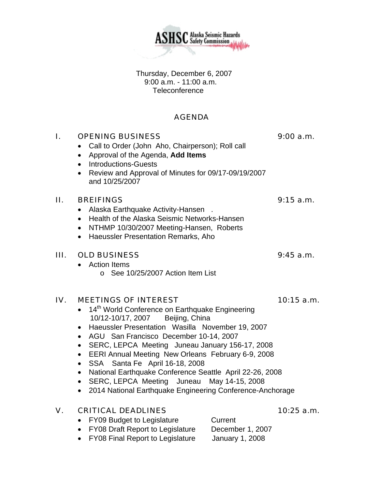Thursday, December 6, 2007 9:00 a.m. - 11:00 a.m. Teleconference

# AGENDA

## I. OPENING BUSINESS 9:00 a.m.

- Call to Order (John Aho, Chairperson); Roll call
- Approval of the Agenda, **Add Items**
- Introductions-Guests
- Review and Approval of Minutes for 09/17-09/19/2007 and 10/25/2007

### II. BREIFINGS 9:15 a.m.

- Alaska Earthquake Activity-Hansen .
- Health of the Alaska Seismic Networks-Hansen
- NTHMP 10/30/2007 Meeting-Hansen, Roberts
- Haeussler Presentation Remarks, Aho

## III. OLD BUSINESS 9:45 a.m.

- Action Items
	- o See 10/25/2007 Action Item List

## IV. MEETINGS OF INTEREST 10:15 a.m.

- 14<sup>th</sup> World Conference on Earthquake Engineering 10/12-10/17, 2007 Beijing, China
- Haeussler Presentation Wasilla November 19, 2007
- AGU San Francisco December 10-14, 2007
- SERC, LEPCA Meeting Juneau January 156-17, 2008
- EERI Annual Meeting New Orleans February 6-9, 2008
- SSA Santa Fe April 16-18, 2008
- National Earthquake Conference Seattle April 22-26, 2008
- SERC, LEPCA Meeting Juneau May 14-15, 2008
- 2014 National Earthquake Engineering Conference-Anchorage

## V. CRITICAL DEADLINES 10:25 a.m.

- FY09 Budget to Legislature Current
- FY08 Draft Report to Legislature December 1, 2007
- FY08 Final Report to Legislature January 1, 2008

**ASHSC** Alaska Seismic Hazards